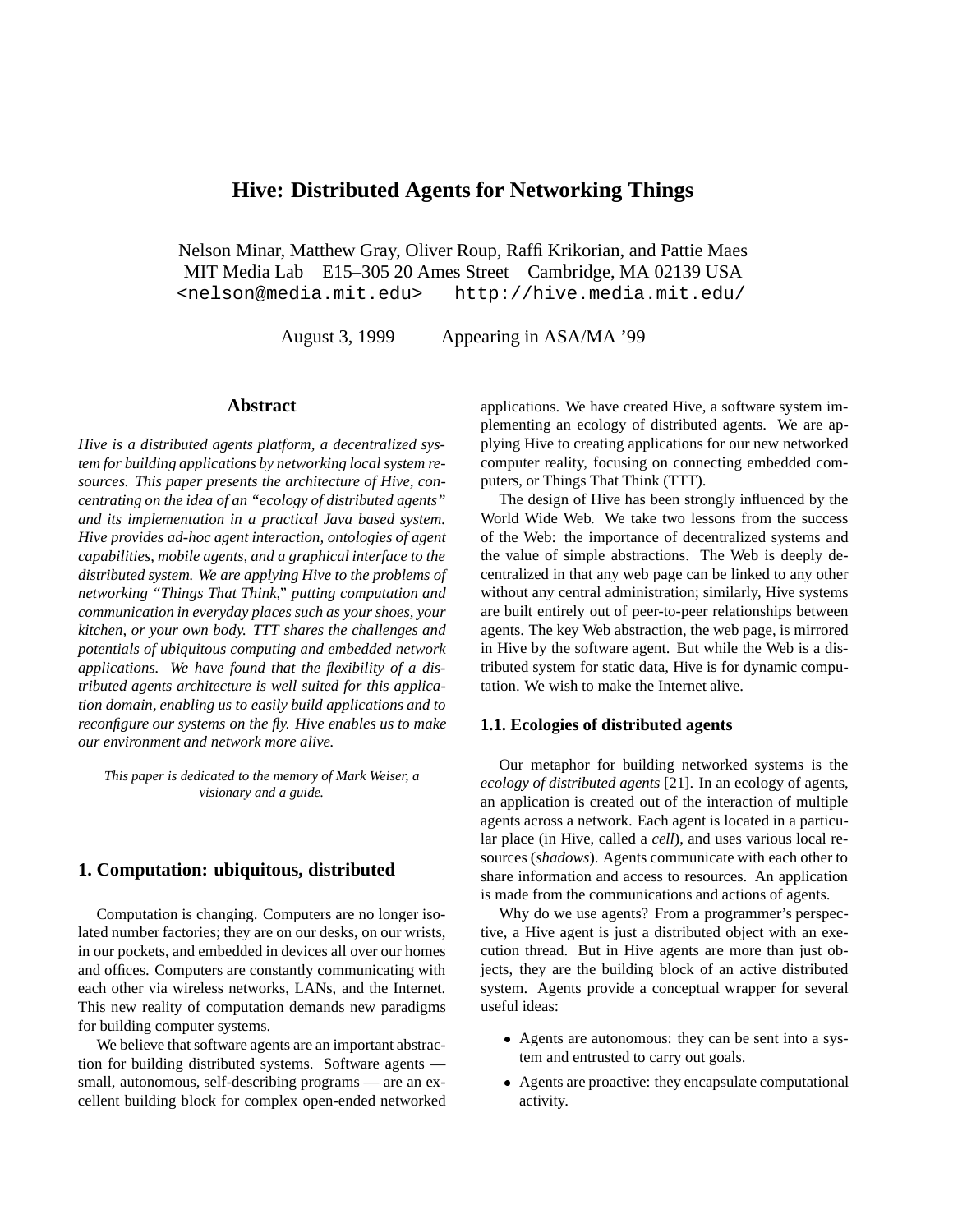# **Hive: Distributed Agents for Networking Things**

Nelson Minar, Matthew Gray, Oliver Roup, Raffi Krikorian, and Pattie Maes MIT Media Lab E15–305 20 Ames Street Cambridge, MA 02139 USA <nelson@media.mit.edu> http://hive.media.mit.edu/

August 3, 1999 Appearing in ASA/MA '99

# **Abstract**

*Hive is a distributed agents platform, a decentralized system for building applications by networking local system resources. This paper presents the architecture of Hive, concentrating on the idea of an "ecology of distributed agents" and its implementation in a practical Java based system. Hive provides ad-hoc agent interaction, ontologies of agent capabilities, mobile agents, and a graphical interface to the distributed system. We are applying Hive to the problems of networking "Things That Think," putting computation and communication in everyday places such as your shoes, your kitchen, or your own body. TTT shares the challenges and potentials of ubiquitous computing and embedded network applications. We have found that the flexibility of a distributed agents architecture is well suited for this application domain, enabling us to easily build applications and to reconfigure our systems on the fly. Hive enables us to make our environment and network more alive.*

*This paper is dedicated to the memory of Mark Weiser, a visionary and a guide.*

# **1. Computation: ubiquitous, distributed**

Computation is changing. Computers are no longer isolated number factories; they are on our desks, on our wrists, in our pockets, and embedded in devices all over our homes and offices. Computers are constantly communicating with each other via wireless networks, LANs, and the Internet. This new reality of computation demands new paradigms for building computer systems.

We believe that software agents are an important abstraction for building distributed systems. Software agents small, autonomous, self-describing programs — are an excellent building block for complex open-ended networked applications. We have created Hive, a software system implementing an ecology of distributed agents. We are applying Hive to creating applications for our new networked computer reality, focusing on connecting embedded computers, or Things That Think (TTT).

The design of Hive has been strongly influenced by the World Wide Web. We take two lessons from the success of the Web: the importance of decentralized systems and the value of simple abstractions. The Web is deeply decentralized in that any web page can be linked to any other without any central administration; similarly, Hive systems are built entirely out of peer-to-peer relationships between agents. The key Web abstraction, the web page, is mirrored in Hive by the software agent. But while the Web is a distributed system for static data, Hive is for dynamic computation. We wish to make the Internet alive.

### **1.1. Ecologies of distributed agents**

Our metaphor for building networked systems is the *ecology of distributed agents* [21]. In an ecology of agents, an application is created out of the interaction of multiple agents across a network. Each agent is located in a particular place (in Hive, called a *cell*), and uses various local resources (*shadows*). Agents communicate with each other to share information and access to resources. An application is made from the communications and actions of agents.

Why do we use agents? From a programmer's perspective, a Hive agent is just a distributed object with an execution thread. But in Hive agents are more than just objects, they are the building block of an active distributed system. Agents provide a conceptual wrapper for several useful ideas:

- Agents are autonomous: they can be sent into a system and entrusted to carry out goals.
- Agents are proactive: they encapsulate computational activity.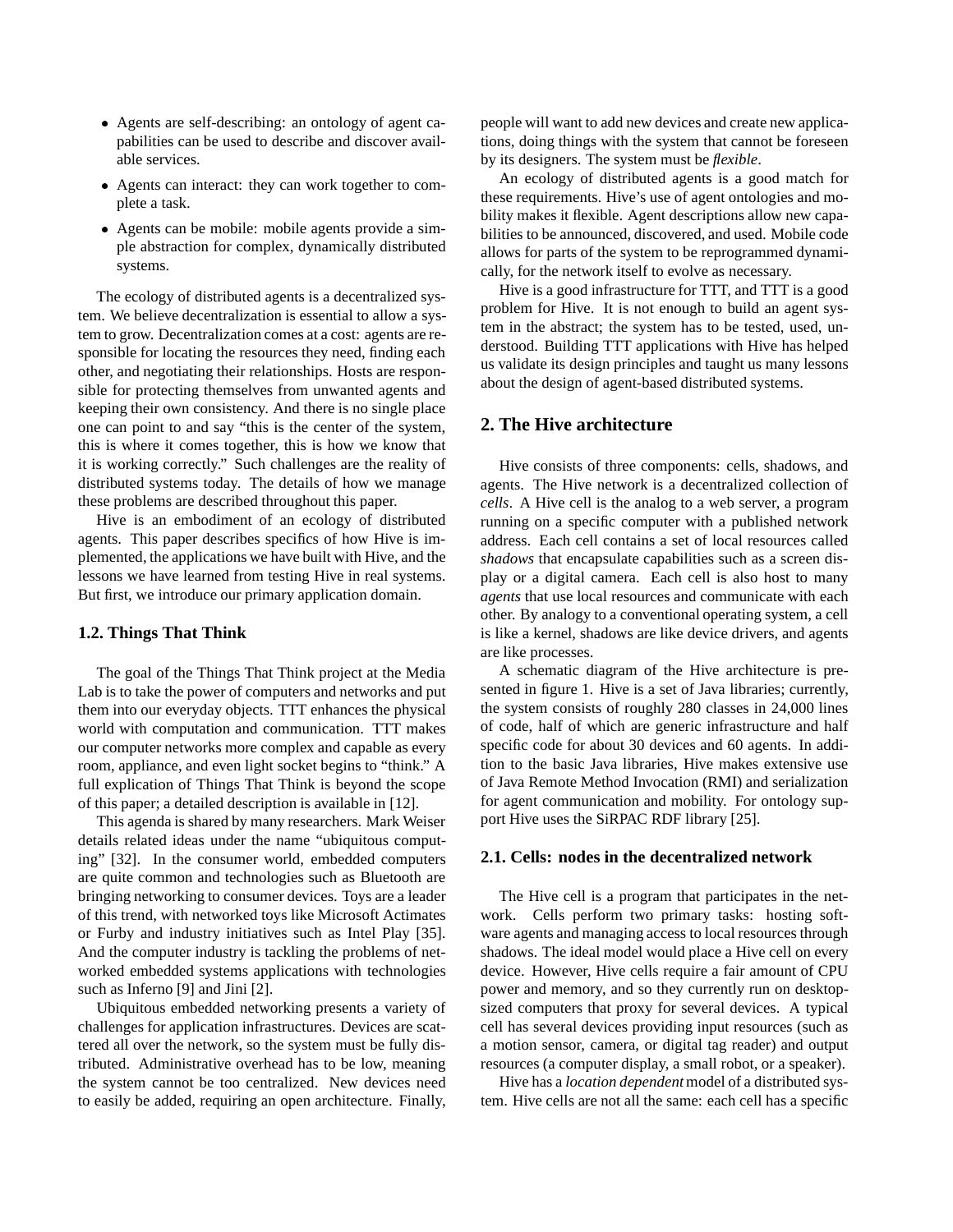- Agents are self-describing: an ontology of agent capabilities can be used to describe and discover available services.
- Agents can interact: they can work together to complete a task.
- Agents can be mobile: mobile agents provide a simple abstraction for complex, dynamically distributed systems.

The ecology of distributed agents is a decentralized system. We believe decentralization is essential to allow a system to grow. Decentralization comes at a cost: agents are responsible for locating the resources they need, finding each other, and negotiating their relationships. Hosts are responsible for protecting themselves from unwanted agents and keeping their own consistency. And there is no single place one can point to and say "this is the center of the system, this is where it comes together, this is how we know that it is working correctly." Such challenges are the reality of distributed systems today. The details of how we manage these problems are described throughout this paper.

Hive is an embodiment of an ecology of distributed agents. This paper describes specifics of how Hive is implemented, the applications we have built with Hive, and the lessons we have learned from testing Hive in real systems. But first, we introduce our primary application domain.

### **1.2. Things That Think**

The goal of the Things That Think project at the Media Lab is to take the power of computers and networks and put them into our everyday objects. TTT enhances the physical world with computation and communication. TTT makes our computer networks more complex and capable as every room, appliance, and even light socket begins to "think." A full explication of Things That Think is beyond the scope of this paper; a detailed description is available in [12].

This agenda is shared by many researchers. Mark Weiser details related ideas under the name "ubiquitous computing" [32]. In the consumer world, embedded computers are quite common and technologies such as Bluetooth are bringing networking to consumer devices. Toys are a leader of this trend, with networked toys like Microsoft Actimates or Furby and industry initiatives such as Intel Play [35]. And the computer industry is tackling the problems of networked embedded systems applications with technologies such as Inferno [9] and Jini [2].

Ubiquitous embedded networking presents a variety of challenges for application infrastructures. Devices are scattered all over the network, so the system must be fully distributed. Administrative overhead has to be low, meaning the system cannot be too centralized. New devices need to easily be added, requiring an open architecture. Finally,

people will want to add new devices and create new applications, doing things with the system that cannot be foreseen by its designers. The system must be *flexible*.

An ecology of distributed agents is a good match for these requirements. Hive's use of agent ontologies and mobility makes it flexible. Agent descriptions allow new capabilities to be announced, discovered, and used. Mobile code allows for parts of the system to be reprogrammed dynamically, for the network itself to evolve as necessary.

Hive is a good infrastructure for TTT, and TTT is a good problem for Hive. It is not enough to build an agent system in the abstract; the system has to be tested, used, understood. Building TTT applications with Hive has helped us validate its design principles and taught us many lessons about the design of agent-based distributed systems.

# **2. The Hive architecture**

Hive consists of three components: cells, shadows, and agents. The Hive network is a decentralized collection of *cells*. A Hive cell is the analog to a web server, a program running on a specific computer with a published network address. Each cell contains a set of local resources called *shadows* that encapsulate capabilities such as a screen display or a digital camera. Each cell is also host to many *agents* that use local resources and communicate with each other. By analogy to a conventional operating system, a cell is like a kernel, shadows are like device drivers, and agents are like processes.

A schematic diagram of the Hive architecture is presented in figure 1. Hive is a set of Java libraries; currently, the system consists of roughly 280 classes in 24,000 lines of code, half of which are generic infrastructure and half specific code for about 30 devices and 60 agents. In addition to the basic Java libraries, Hive makes extensive use of Java Remote Method Invocation (RMI) and serialization for agent communication and mobility. For ontology support Hive uses the SiRPAC RDF library [25].

#### **2.1. Cells: nodes in the decentralized network**

The Hive cell is a program that participates in the network. Cells perform two primary tasks: hosting software agents and managing access to local resources through shadows. The ideal model would place a Hive cell on every device. However, Hive cells require a fair amount of CPU power and memory, and so they currently run on desktopsized computers that proxy for several devices. A typical cell has several devices providing input resources (such as a motion sensor, camera, or digital tag reader) and output resources (a computer display, a small robot, or a speaker).

Hive has a *location dependent*model of a distributed system. Hive cells are not all the same: each cell has a specific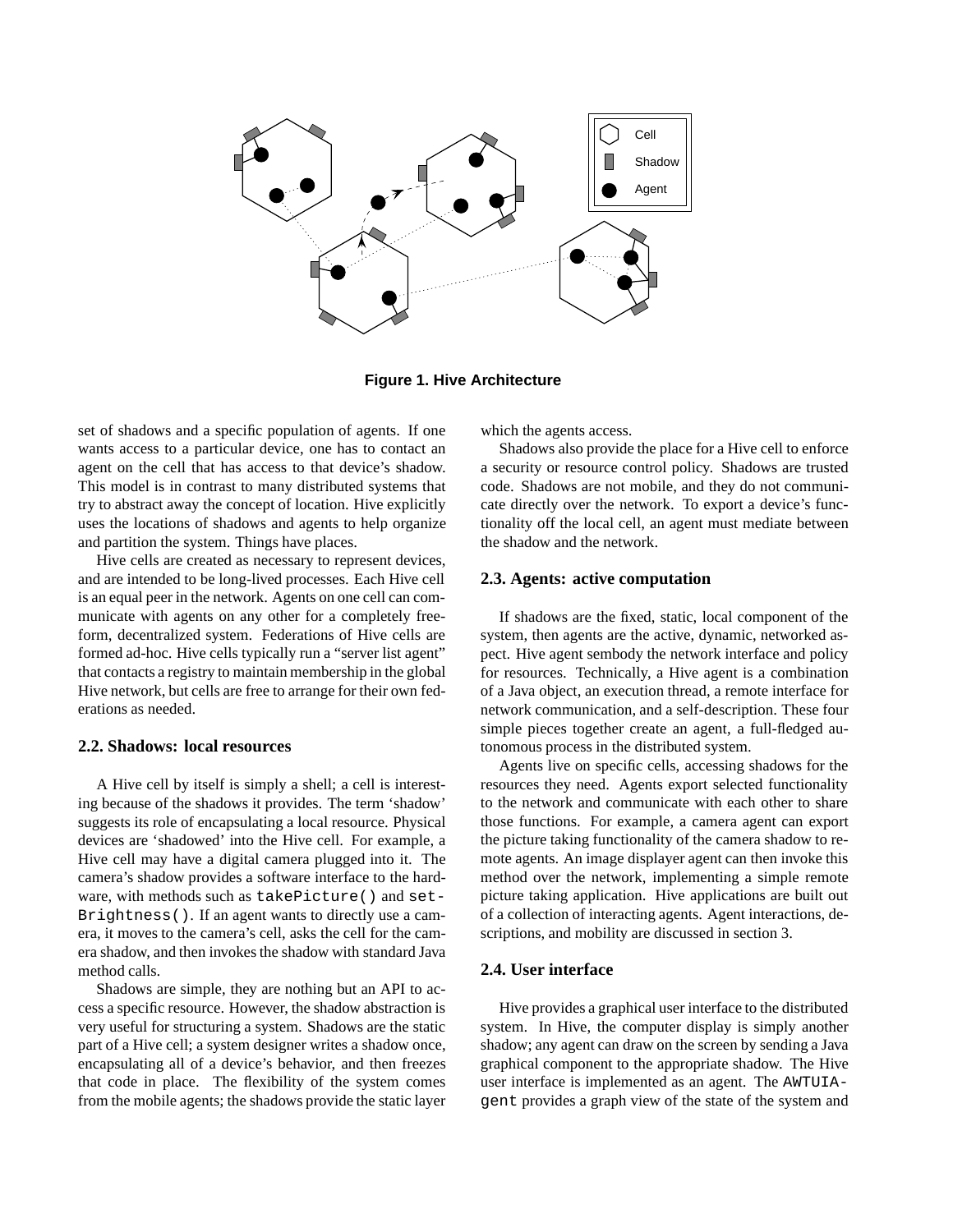

**Figure 1. Hive Architecture**

set of shadows and a specific population of agents. If one wants access to a particular device, one has to contact an agent on the cell that has access to that device's shadow. This model is in contrast to many distributed systems that try to abstract away the concept of location. Hive explicitly uses the locations of shadows and agents to help organize and partition the system. Things have places.

Hive cells are created as necessary to represent devices, and are intended to be long-lived processes. Each Hive cell is an equal peer in the network. Agents on one cell can communicate with agents on any other for a completely freeform, decentralized system. Federations of Hive cells are formed ad-hoc. Hive cells typically run a "server list agent" that contacts a registry to maintain membership in the global Hive network, but cells are free to arrange for their own federations as needed.

# **2.2. Shadows: local resources**

A Hive cell by itself is simply a shell; a cell is interesting because of the shadows it provides. The term 'shadow' suggests its role of encapsulating a local resource. Physical devices are 'shadowed' into the Hive cell. For example, a Hive cell may have a digital camera plugged into it. The camera's shadow provides a software interface to the hardware, with methods such as takePicture() and set-Brightness(). If an agent wants to directly use a camera, it moves to the camera's cell, asks the cell for the camera shadow, and then invokes the shadow with standard Java method calls.

Shadows are simple, they are nothing but an API to access a specific resource. However, the shadow abstraction is very useful for structuring a system. Shadows are the static part of a Hive cell; a system designer writes a shadow once, encapsulating all of a device's behavior, and then freezes that code in place. The flexibility of the system comes from the mobile agents; the shadows provide the static layer which the agents access.

Shadows also provide the place for a Hive cell to enforce a security or resource control policy. Shadows are trusted code. Shadows are not mobile, and they do not communicate directly over the network. To export a device's functionality off the local cell, an agent must mediate between the shadow and the network.

### **2.3. Agents: active computation**

If shadows are the fixed, static, local component of the system, then agents are the active, dynamic, networked aspect. Hive agent sembody the network interface and policy for resources. Technically, a Hive agent is a combination of a Java object, an execution thread, a remote interface for network communication, and a self-description. These four simple pieces together create an agent, a full-fledged autonomous process in the distributed system.

Agents live on specific cells, accessing shadows for the resources they need. Agents export selected functionality to the network and communicate with each other to share those functions. For example, a camera agent can export the picture taking functionality of the camera shadow to remote agents. An image displayer agent can then invoke this method over the network, implementing a simple remote picture taking application. Hive applications are built out of a collection of interacting agents. Agent interactions, descriptions, and mobility are discussed in section 3.

# **2.4. User interface**

Hive provides a graphical user interface to the distributed system. In Hive, the computer display is simply another shadow; any agent can draw on the screen by sending a Java graphical component to the appropriate shadow. The Hive user interface is implemented as an agent. The AWTUIAgent provides a graph view of the state of the system and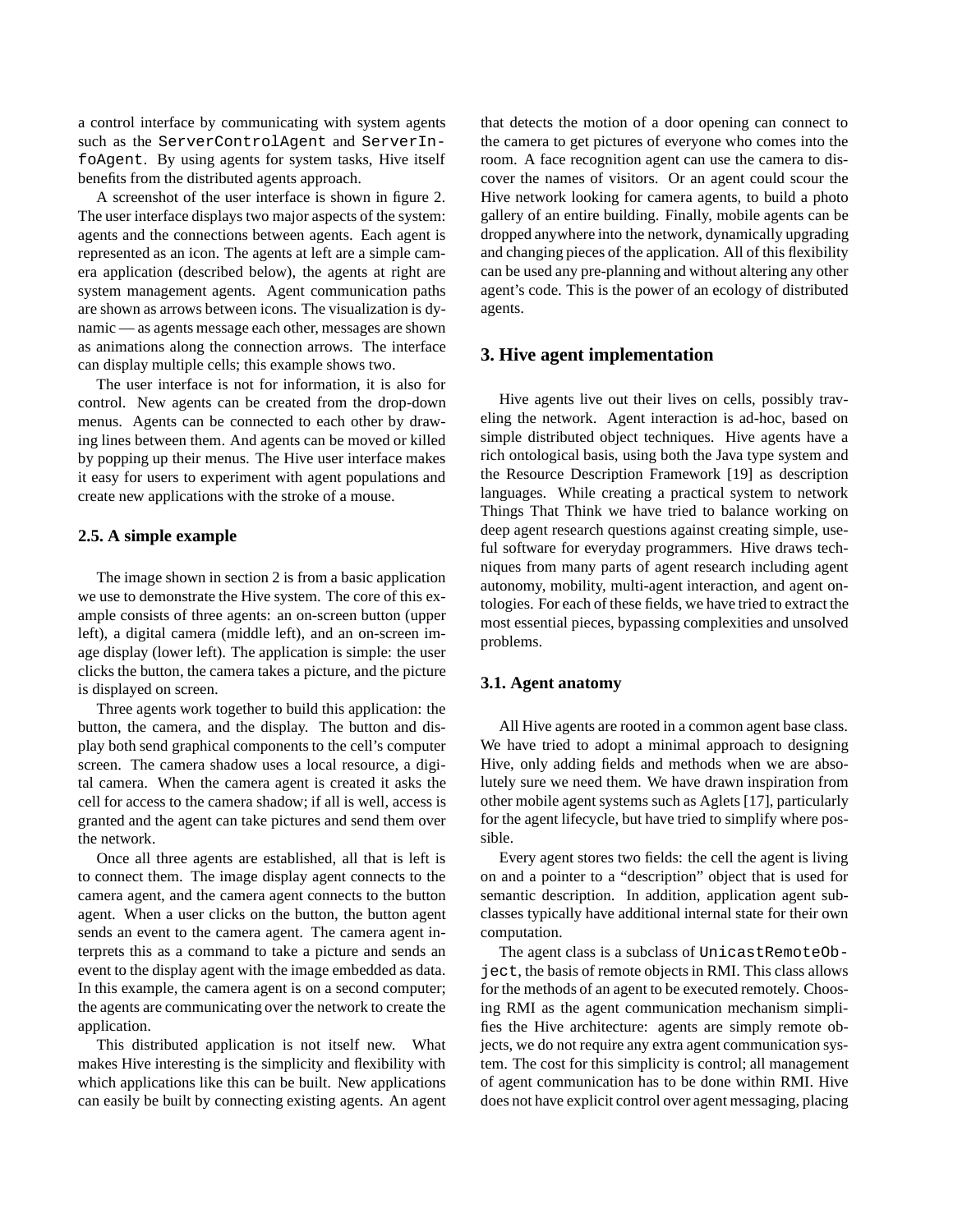a control interface by communicating with system agents such as the ServerControlAgent and ServerInfoAgent. By using agents for system tasks, Hive itself benefits from the distributed agents approach.

A screenshot of the user interface is shown in figure 2. The user interface displays two major aspects of the system: agents and the connections between agents. Each agent is represented as an icon. The agents at left are a simple camera application (described below), the agents at right are system management agents. Agent communication paths are shown as arrows between icons. The visualization is dynamic — as agents message each other, messages are shown as animations along the connection arrows. The interface can display multiple cells; this example shows two.

The user interface is not for information, it is also for control. New agents can be created from the drop-down menus. Agents can be connected to each other by drawing lines between them. And agents can be moved or killed by popping up their menus. The Hive user interface makes it easy for users to experiment with agent populations and create new applications with the stroke of a mouse.

### **2.5. A simple example**

The image shown in section 2 is from a basic application we use to demonstrate the Hive system. The core of this example consists of three agents: an on-screen button (upper left), a digital camera (middle left), and an on-screen image display (lower left). The application is simple: the user clicks the button, the camera takes a picture, and the picture is displayed on screen.

Three agents work together to build this application: the button, the camera, and the display. The button and display both send graphical components to the cell's computer screen. The camera shadow uses a local resource, a digital camera. When the camera agent is created it asks the cell for access to the camera shadow; if all is well, access is granted and the agent can take pictures and send them over the network.

Once all three agents are established, all that is left is to connect them. The image display agent connects to the camera agent, and the camera agent connects to the button agent. When a user clicks on the button, the button agent sends an event to the camera agent. The camera agent interprets this as a command to take a picture and sends an event to the display agent with the image embedded as data. In this example, the camera agent is on a second computer; the agents are communicating over the network to create the application.

This distributed application is not itself new. What makes Hive interesting is the simplicity and flexibility with which applications like this can be built. New applications can easily be built by connecting existing agents. An agent that detects the motion of a door opening can connect to the camera to get pictures of everyone who comes into the room. A face recognition agent can use the camera to discover the names of visitors. Or an agent could scour the Hive network looking for camera agents, to build a photo gallery of an entire building. Finally, mobile agents can be dropped anywhere into the network, dynamically upgrading and changing pieces of the application. All of this flexibility can be used any pre-planning and without altering any other agent's code. This is the power of an ecology of distributed agents.

# **3. Hive agent implementation**

Hive agents live out their lives on cells, possibly traveling the network. Agent interaction is ad-hoc, based on simple distributed object techniques. Hive agents have a rich ontological basis, using both the Java type system and the Resource Description Framework [19] as description languages. While creating a practical system to network Things That Think we have tried to balance working on deep agent research questions against creating simple, useful software for everyday programmers. Hive draws techniques from many parts of agent research including agent autonomy, mobility, multi-agent interaction, and agent ontologies. For each of these fields, we have tried to extract the most essential pieces, bypassing complexities and unsolved problems.

### **3.1. Agent anatomy**

All Hive agents are rooted in a common agent base class. We have tried to adopt a minimal approach to designing Hive, only adding fields and methods when we are absolutely sure we need them. We have drawn inspiration from other mobile agent systems such as Aglets [17], particularly for the agent lifecycle, but have tried to simplify where possible.

Every agent stores two fields: the cell the agent is living on and a pointer to a "description" object that is used for semantic description. In addition, application agent subclasses typically have additional internal state for their own computation.

The agent class is a subclass of UnicastRemoteObject, the basis of remote objects in RMI. This class allows for the methods of an agent to be executed remotely. Choosing RMI as the agent communication mechanism simplifies the Hive architecture: agents are simply remote objects, we do not require any extra agent communication system. The cost for this simplicity is control; all management of agent communication has to be done within RMI. Hive does not have explicit control over agent messaging, placing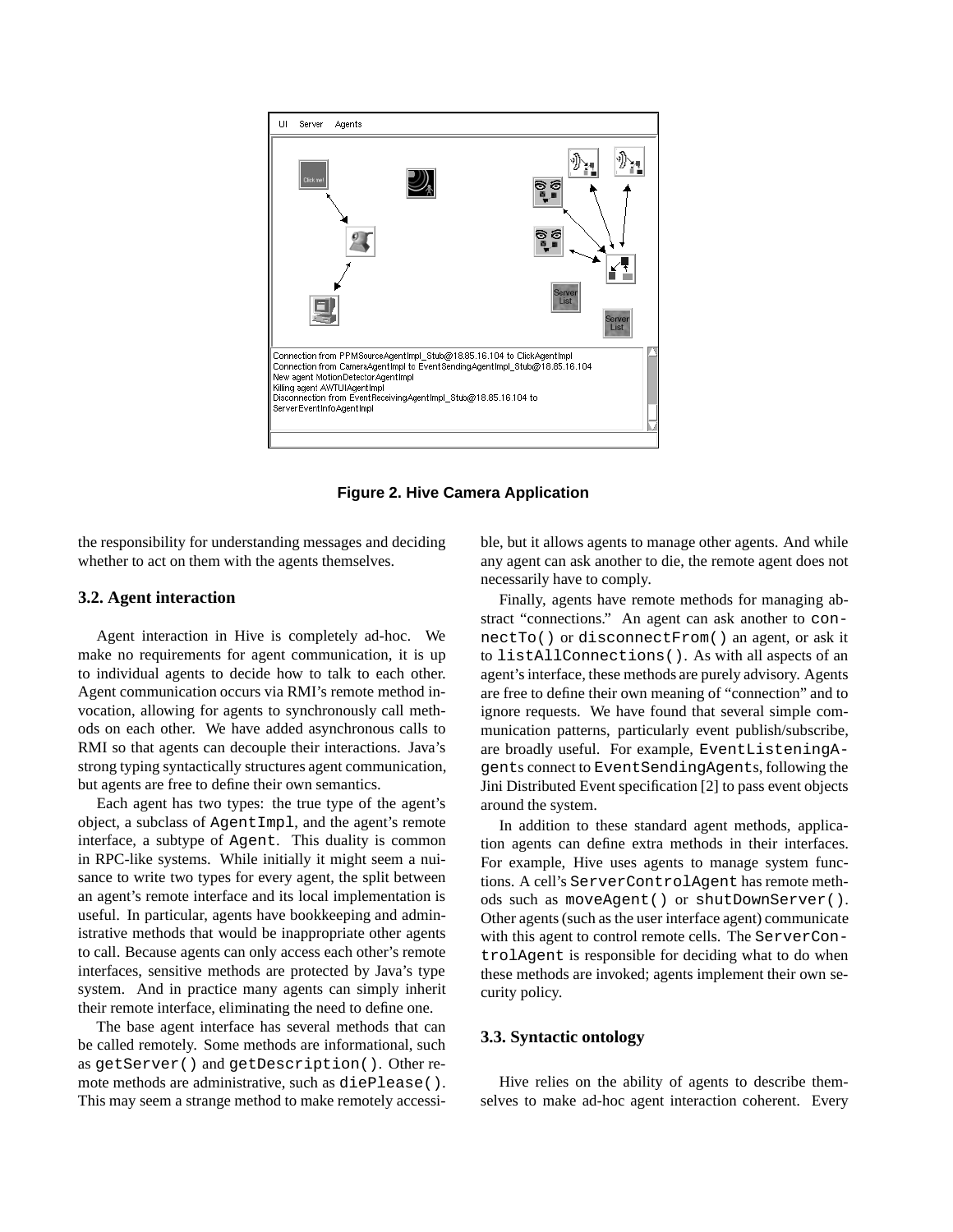

**Figure 2. Hive Camera Application**

the responsibility for understanding messages and deciding whether to act on them with the agents themselves.

### **3.2. Agent interaction**

Agent interaction in Hive is completely ad-hoc. We make no requirements for agent communication, it is up to individual agents to decide how to talk to each other. Agent communication occurs via RMI's remote method invocation, allowing for agents to synchronously call methods on each other. We have added asynchronous calls to RMI so that agents can decouple their interactions. Java's strong typing syntactically structures agent communication, but agents are free to define their own semantics.

Each agent has two types: the true type of the agent's object, a subclass of AgentImpl, and the agent's remote interface, a subtype of Agent. This duality is common in RPC-like systems. While initially it might seem a nuisance to write two types for every agent, the split between an agent's remote interface and its local implementation is useful. In particular, agents have bookkeeping and administrative methods that would be inappropriate other agents to call. Because agents can only access each other's remote interfaces, sensitive methods are protected by Java's type system. And in practice many agents can simply inherit their remote interface, eliminating the need to define one.

The base agent interface has several methods that can be called remotely. Some methods are informational, such as getServer() and getDescription(). Other remote methods are administrative, such as diePlease(). This may seem a strange method to make remotely accessible, but it allows agents to manage other agents. And while any agent can ask another to die, the remote agent does not necessarily have to comply.

Finally, agents have remote methods for managing abstract "connections." An agent can ask another to connectTo() or disconnectFrom() an agent, or ask it to listAllConnections(). As with all aspects of an agent's interface, these methods are purely advisory. Agents are free to define their own meaning of "connection" and to ignore requests. We have found that several simple communication patterns, particularly event publish/subscribe, are broadly useful. For example, EventListeningAgents connect to EventSendingAgents, following the Jini Distributed Event specification [2] to pass event objects around the system.

In addition to these standard agent methods, application agents can define extra methods in their interfaces. For example, Hive uses agents to manage system functions. A cell's ServerControlAgent has remote methods such as moveAgent() or shutDownServer(). Other agents (such as the user interface agent) communicate with this agent to control remote cells. The ServerControlAgent is responsible for deciding what to do when these methods are invoked; agents implement their own security policy.

### **3.3. Syntactic ontology**

Hive relies on the ability of agents to describe themselves to make ad-hoc agent interaction coherent. Every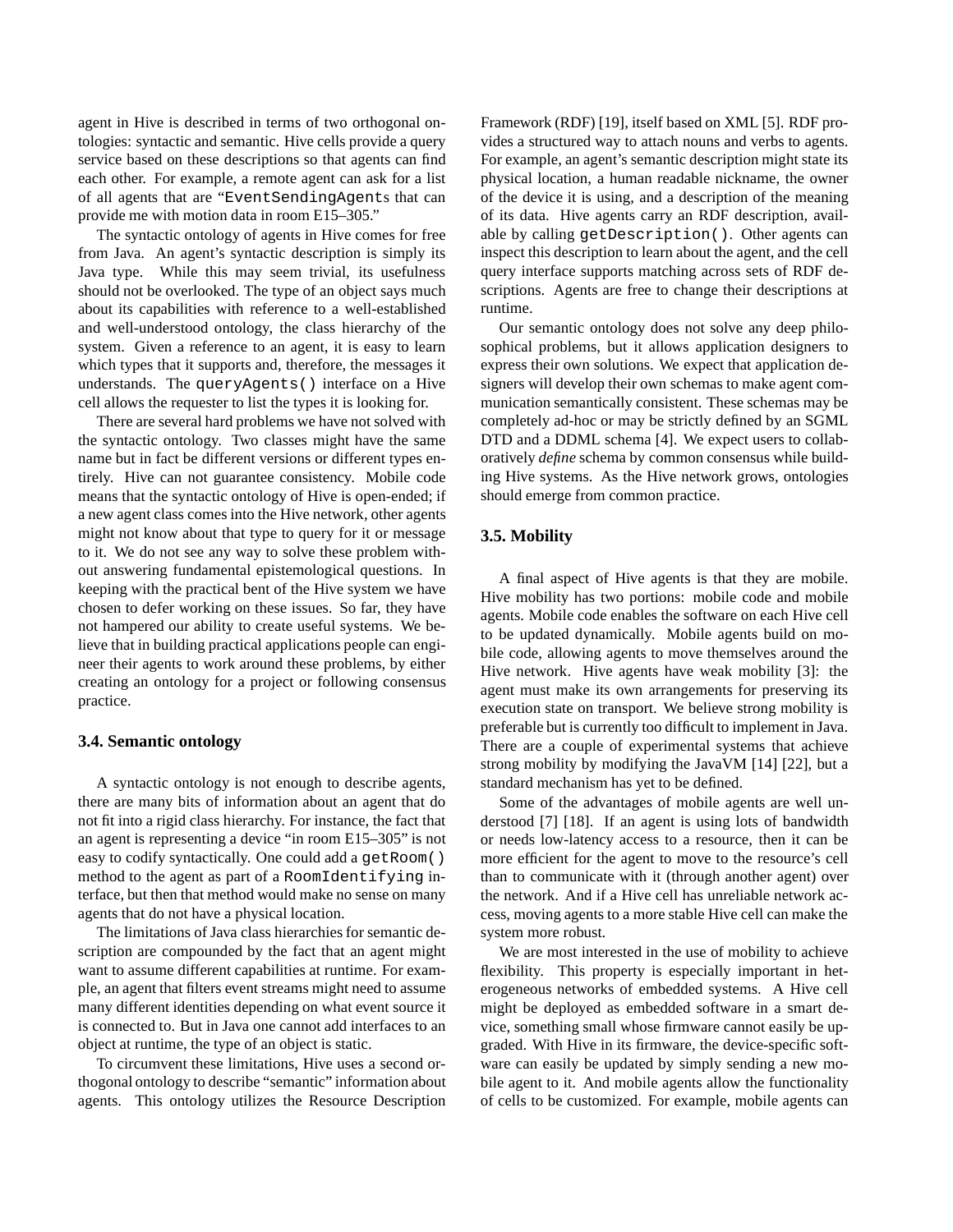agent in Hive is described in terms of two orthogonal ontologies: syntactic and semantic. Hive cells provide a query service based on these descriptions so that agents can find each other. For example, a remote agent can ask for a list of all agents that are "EventSendingAgents that can provide me with motion data in room E15–305."

The syntactic ontology of agents in Hive comes for free from Java. An agent's syntactic description is simply its Java type. While this may seem trivial, its usefulness should not be overlooked. The type of an object says much about its capabilities with reference to a well-established and well-understood ontology, the class hierarchy of the system. Given a reference to an agent, it is easy to learn which types that it supports and, therefore, the messages it understands. The queryAgents() interface on a Hive cell allows the requester to list the types it is looking for.

There are several hard problems we have not solved with the syntactic ontology. Two classes might have the same name but in fact be different versions or different types entirely. Hive can not guarantee consistency. Mobile code means that the syntactic ontology of Hive is open-ended; if a new agent class comes into the Hive network, other agents might not know about that type to query for it or message to it. We do not see any way to solve these problem without answering fundamental epistemological questions. In keeping with the practical bent of the Hive system we have chosen to defer working on these issues. So far, they have not hampered our ability to create useful systems. We believe that in building practical applications people can engineer their agents to work around these problems, by either creating an ontology for a project or following consensus practice.

#### **3.4. Semantic ontology**

A syntactic ontology is not enough to describe agents, there are many bits of information about an agent that do not fit into a rigid class hierarchy. For instance, the fact that an agent is representing a device "in room E15–305" is not easy to codify syntactically. One could add a getRoom() method to the agent as part of a RoomIdentifying interface, but then that method would make no sense on many agents that do not have a physical location.

The limitations of Java class hierarchies for semantic description are compounded by the fact that an agent might want to assume different capabilities at runtime. For example, an agent that filters event streams might need to assume many different identities depending on what event source it is connected to. But in Java one cannot add interfaces to an object at runtime, the type of an object is static.

To circumvent these limitations, Hive uses a second orthogonal ontology to describe "semantic" information about agents. This ontology utilizes the Resource Description Framework (RDF) [19], itself based on XML [5]. RDF provides a structured way to attach nouns and verbs to agents. For example, an agent's semantic description might state its physical location, a human readable nickname, the owner of the device it is using, and a description of the meaning of its data. Hive agents carry an RDF description, available by calling getDescription(). Other agents can inspect this description to learn about the agent, and the cell query interface supports matching across sets of RDF descriptions. Agents are free to change their descriptions at runtime.

Our semantic ontology does not solve any deep philosophical problems, but it allows application designers to express their own solutions. We expect that application designers will develop their own schemas to make agent communication semantically consistent. These schemas may be completely ad-hoc or may be strictly defined by an SGML DTD and a DDML schema [4]. We expect users to collaboratively *define* schema by common consensus while building Hive systems. As the Hive network grows, ontologies should emerge from common practice.

#### **3.5. Mobility**

A final aspect of Hive agents is that they are mobile. Hive mobility has two portions: mobile code and mobile agents. Mobile code enables the software on each Hive cell to be updated dynamically. Mobile agents build on mobile code, allowing agents to move themselves around the Hive network. Hive agents have weak mobility [3]: the agent must make its own arrangements for preserving its execution state on transport. We believe strong mobility is preferable but is currently too difficult to implement in Java. There are a couple of experimental systems that achieve strong mobility by modifying the JavaVM [14] [22], but a standard mechanism has yet to be defined.

Some of the advantages of mobile agents are well understood [7] [18]. If an agent is using lots of bandwidth or needs low-latency access to a resource, then it can be more efficient for the agent to move to the resource's cell than to communicate with it (through another agent) over the network. And if a Hive cell has unreliable network access, moving agents to a more stable Hive cell can make the system more robust.

We are most interested in the use of mobility to achieve flexibility. This property is especially important in heterogeneous networks of embedded systems. A Hive cell might be deployed as embedded software in a smart device, something small whose firmware cannot easily be upgraded. With Hive in its firmware, the device-specific software can easily be updated by simply sending a new mobile agent to it. And mobile agents allow the functionality of cells to be customized. For example, mobile agents can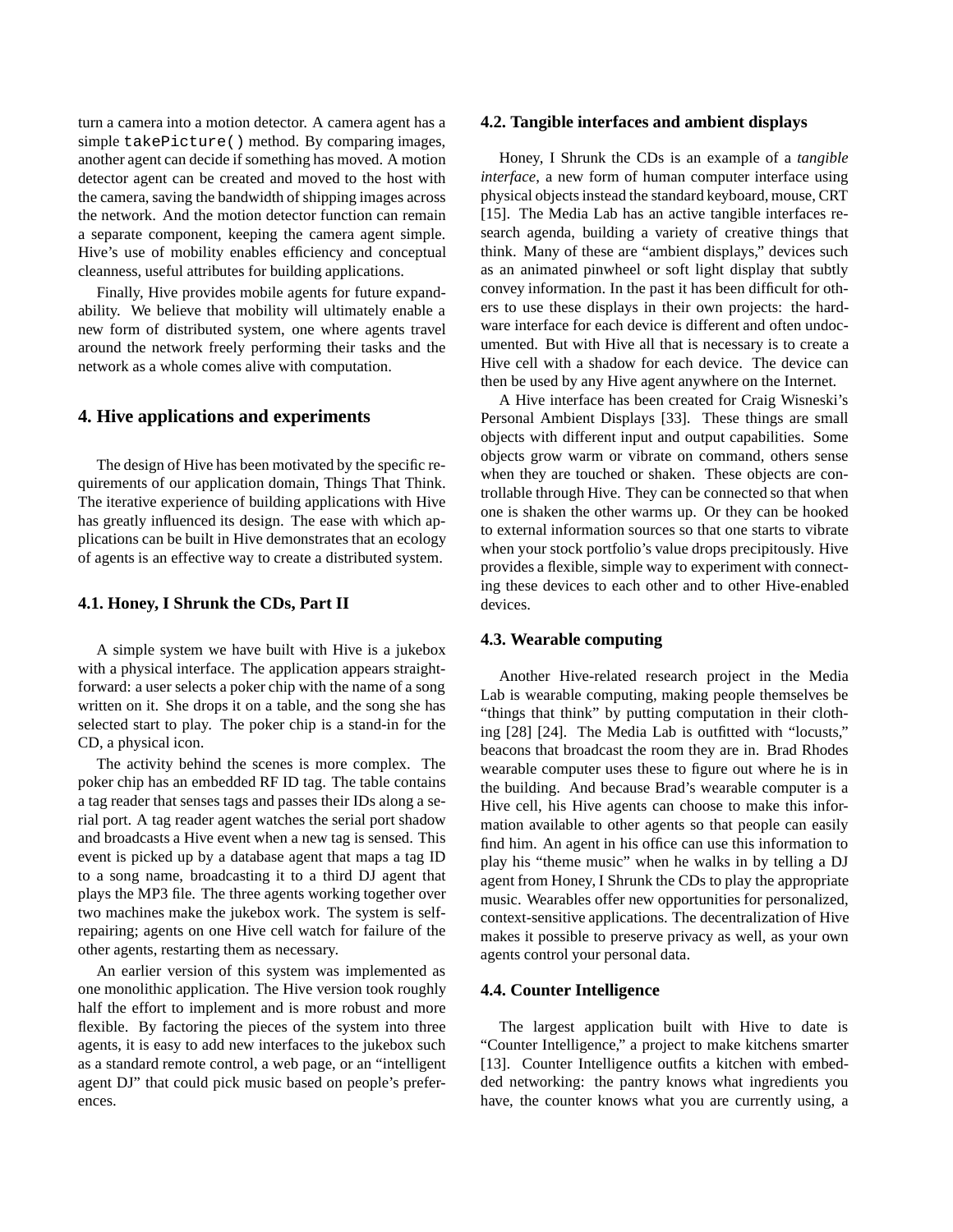turn a camera into a motion detector. A camera agent has a simple takePicture() method. By comparing images, another agent can decide if something has moved. A motion detector agent can be created and moved to the host with the camera, saving the bandwidth of shipping images across the network. And the motion detector function can remain a separate component, keeping the camera agent simple. Hive's use of mobility enables efficiency and conceptual cleanness, useful attributes for building applications.

Finally, Hive provides mobile agents for future expandability. We believe that mobility will ultimately enable a new form of distributed system, one where agents travel around the network freely performing their tasks and the network as a whole comes alive with computation.

### **4. Hive applications and experiments**

The design of Hive has been motivated by the specific requirements of our application domain, Things That Think. The iterative experience of building applications with Hive has greatly influenced its design. The ease with which applications can be built in Hive demonstrates that an ecology of agents is an effective way to create a distributed system.

### **4.1. Honey, I Shrunk the CDs, Part II**

A simple system we have built with Hive is a jukebox with a physical interface. The application appears straightforward: a user selects a poker chip with the name of a song written on it. She drops it on a table, and the song she has selected start to play. The poker chip is a stand-in for the CD, a physical icon.

The activity behind the scenes is more complex. The poker chip has an embedded RF ID tag. The table contains a tag reader that senses tags and passes their IDs along a serial port. A tag reader agent watches the serial port shadow and broadcasts a Hive event when a new tag is sensed. This event is picked up by a database agent that maps a tag ID to a song name, broadcasting it to a third DJ agent that plays the MP3 file. The three agents working together over two machines make the jukebox work. The system is selfrepairing; agents on one Hive cell watch for failure of the other agents, restarting them as necessary.

An earlier version of this system was implemented as one monolithic application. The Hive version took roughly half the effort to implement and is more robust and more flexible. By factoring the pieces of the system into three agents, it is easy to add new interfaces to the jukebox such as a standard remote control, a web page, or an "intelligent agent DJ" that could pick music based on people's preferences.

#### **4.2. Tangible interfaces and ambient displays**

Honey, I Shrunk the CDs is an example of a *tangible interface*, a new form of human computer interface using physical objects instead the standard keyboard, mouse, CRT [15]. The Media Lab has an active tangible interfaces research agenda, building a variety of creative things that think. Many of these are "ambient displays," devices such as an animated pinwheel or soft light display that subtly convey information. In the past it has been difficult for others to use these displays in their own projects: the hardware interface for each device is different and often undocumented. But with Hive all that is necessary is to create a Hive cell with a shadow for each device. The device can then be used by any Hive agent anywhere on the Internet.

A Hive interface has been created for Craig Wisneski's Personal Ambient Displays [33]. These things are small objects with different input and output capabilities. Some objects grow warm or vibrate on command, others sense when they are touched or shaken. These objects are controllable through Hive. They can be connected so that when one is shaken the other warms up. Or they can be hooked to external information sources so that one starts to vibrate when your stock portfolio's value drops precipitously. Hive provides a flexible, simple way to experiment with connecting these devices to each other and to other Hive-enabled devices.

### **4.3. Wearable computing**

Another Hive-related research project in the Media Lab is wearable computing, making people themselves be "things that think" by putting computation in their clothing [28] [24]. The Media Lab is outfitted with "locusts," beacons that broadcast the room they are in. Brad Rhodes wearable computer uses these to figure out where he is in the building. And because Brad's wearable computer is a Hive cell, his Hive agents can choose to make this information available to other agents so that people can easily find him. An agent in his office can use this information to play his "theme music" when he walks in by telling a DJ agent from Honey, I Shrunk the CDs to play the appropriate music. Wearables offer new opportunities for personalized, context-sensitive applications. The decentralization of Hive makes it possible to preserve privacy as well, as your own agents control your personal data.

# **4.4. Counter Intelligence**

The largest application built with Hive to date is "Counter Intelligence," a project to make kitchens smarter [13]. Counter Intelligence outfits a kitchen with embedded networking: the pantry knows what ingredients you have, the counter knows what you are currently using, a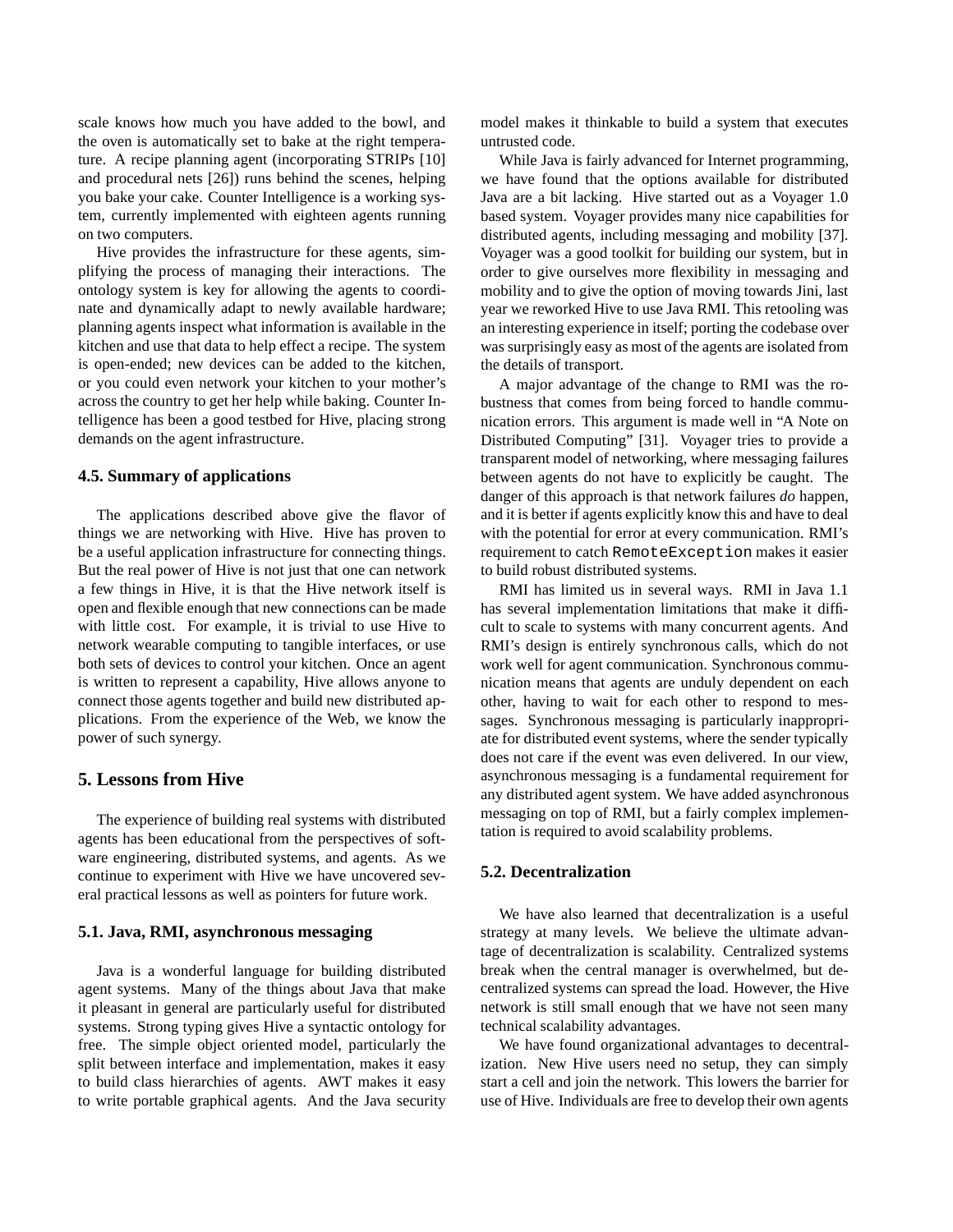scale knows how much you have added to the bowl, and the oven is automatically set to bake at the right temperature. A recipe planning agent (incorporating STRIPs [10] and procedural nets [26]) runs behind the scenes, helping you bake your cake. Counter Intelligence is a working system, currently implemented with eighteen agents running on two computers.

Hive provides the infrastructure for these agents, simplifying the process of managing their interactions. The ontology system is key for allowing the agents to coordinate and dynamically adapt to newly available hardware; planning agents inspect what information is available in the kitchen and use that data to help effect a recipe. The system is open-ended; new devices can be added to the kitchen, or you could even network your kitchen to your mother's across the country to get her help while baking. Counter Intelligence has been a good testbed for Hive, placing strong demands on the agent infrastructure.

#### **4.5. Summary of applications**

The applications described above give the flavor of things we are networking with Hive. Hive has proven to be a useful application infrastructure for connecting things. But the real power of Hive is not just that one can network a few things in Hive, it is that the Hive network itself is open and flexible enough that new connections can be made with little cost. For example, it is trivial to use Hive to network wearable computing to tangible interfaces, or use both sets of devices to control your kitchen. Once an agent is written to represent a capability, Hive allows anyone to connect those agents together and build new distributed applications. From the experience of the Web, we know the power of such synergy.

# **5. Lessons from Hive**

The experience of building real systems with distributed agents has been educational from the perspectives of software engineering, distributed systems, and agents. As we continue to experiment with Hive we have uncovered several practical lessons as well as pointers for future work.

# **5.1. Java, RMI, asynchronous messaging**

Java is a wonderful language for building distributed agent systems. Many of the things about Java that make it pleasant in general are particularly useful for distributed systems. Strong typing gives Hive a syntactic ontology for free. The simple object oriented model, particularly the split between interface and implementation, makes it easy to build class hierarchies of agents. AWT makes it easy to write portable graphical agents. And the Java security

model makes it thinkable to build a system that executes untrusted code.

While Java is fairly advanced for Internet programming, we have found that the options available for distributed Java are a bit lacking. Hive started out as a Voyager 1.0 based system. Voyager provides many nice capabilities for distributed agents, including messaging and mobility [37]. Voyager was a good toolkit for building our system, but in order to give ourselves more flexibility in messaging and mobility and to give the option of moving towards Jini, last year we reworked Hive to use Java RMI. This retooling was an interesting experience in itself; porting the codebase over was surprisingly easy as most of the agents are isolated from the details of transport.

A major advantage of the change to RMI was the robustness that comes from being forced to handle communication errors. This argument is made well in "A Note on Distributed Computing" [31]. Voyager tries to provide a transparent model of networking, where messaging failures between agents do not have to explicitly be caught. The danger of this approach is that network failures *do* happen, and it is better if agents explicitly know this and have to deal with the potential for error at every communication. RMI's requirement to catch RemoteException makes it easier to build robust distributed systems.

RMI has limited us in several ways. RMI in Java 1.1 has several implementation limitations that make it difficult to scale to systems with many concurrent agents. And RMI's design is entirely synchronous calls, which do not work well for agent communication. Synchronous communication means that agents are unduly dependent on each other, having to wait for each other to respond to messages. Synchronous messaging is particularly inappropriate for distributed event systems, where the sender typically does not care if the event was even delivered. In our view, asynchronous messaging is a fundamental requirement for any distributed agent system. We have added asynchronous messaging on top of RMI, but a fairly complex implementation is required to avoid scalability problems.

# **5.2. Decentralization**

We have also learned that decentralization is a useful strategy at many levels. We believe the ultimate advantage of decentralization is scalability. Centralized systems break when the central manager is overwhelmed, but decentralized systems can spread the load. However, the Hive network is still small enough that we have not seen many technical scalability advantages.

We have found organizational advantages to decentralization. New Hive users need no setup, they can simply start a cell and join the network. This lowers the barrier for use of Hive. Individuals are free to develop their own agents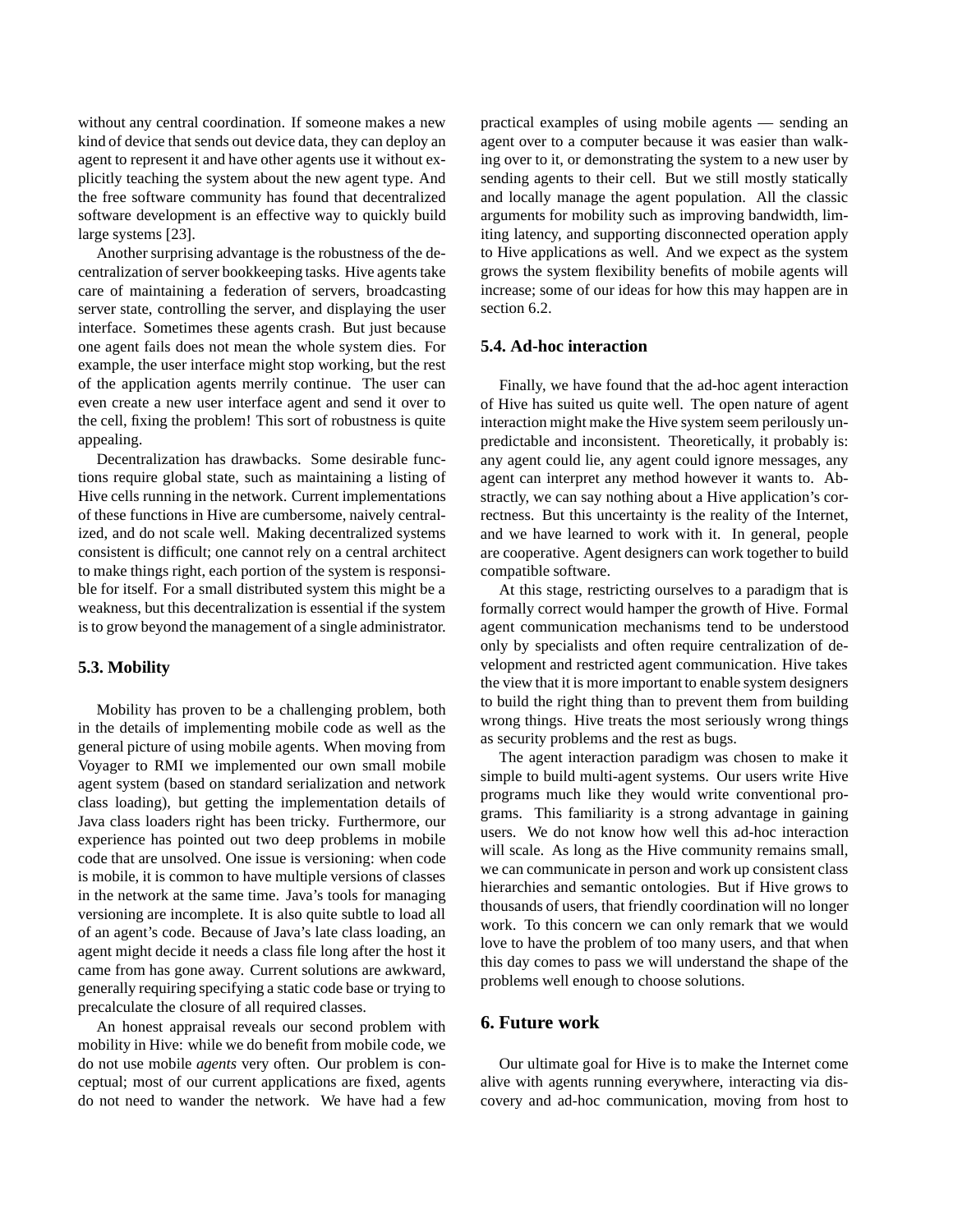without any central coordination. If someone makes a new kind of device that sends out device data, they can deploy an agent to represent it and have other agents use it without explicitly teaching the system about the new agent type. And the free software community has found that decentralized software development is an effective way to quickly build large systems [23].

Another surprising advantage is the robustness of the decentralization of server bookkeeping tasks. Hive agents take care of maintaining a federation of servers, broadcasting server state, controlling the server, and displaying the user interface. Sometimes these agents crash. But just because one agent fails does not mean the whole system dies. For example, the user interface might stop working, but the rest of the application agents merrily continue. The user can even create a new user interface agent and send it over to the cell, fixing the problem! This sort of robustness is quite appealing.

Decentralization has drawbacks. Some desirable functions require global state, such as maintaining a listing of Hive cells running in the network. Current implementations of these functions in Hive are cumbersome, naively centralized, and do not scale well. Making decentralized systems consistent is difficult; one cannot rely on a central architect to make things right, each portion of the system is responsible for itself. For a small distributed system this might be a weakness, but this decentralization is essential if the system is to grow beyond the management of a single administrator.

# **5.3. Mobility**

Mobility has proven to be a challenging problem, both in the details of implementing mobile code as well as the general picture of using mobile agents. When moving from Voyager to RMI we implemented our own small mobile agent system (based on standard serialization and network class loading), but getting the implementation details of Java class loaders right has been tricky. Furthermore, our experience has pointed out two deep problems in mobile code that are unsolved. One issue is versioning: when code is mobile, it is common to have multiple versions of classes in the network at the same time. Java's tools for managing versioning are incomplete. It is also quite subtle to load all of an agent's code. Because of Java's late class loading, an agent might decide it needs a class file long after the host it came from has gone away. Current solutions are awkward, generally requiring specifying a static code base or trying to precalculate the closure of all required classes.

An honest appraisal reveals our second problem with mobility in Hive: while we do benefit from mobile code, we do not use mobile *agents* very often. Our problem is conceptual; most of our current applications are fixed, agents do not need to wander the network. We have had a few

practical examples of using mobile agents — sending an agent over to a computer because it was easier than walking over to it, or demonstrating the system to a new user by sending agents to their cell. But we still mostly statically and locally manage the agent population. All the classic arguments for mobility such as improving bandwidth, limiting latency, and supporting disconnected operation apply to Hive applications as well. And we expect as the system grows the system flexibility benefits of mobile agents will increase; some of our ideas for how this may happen are in section 6.2.

# **5.4. Ad-hoc interaction**

Finally, we have found that the ad-hoc agent interaction of Hive has suited us quite well. The open nature of agent interaction might make the Hive system seem perilously unpredictable and inconsistent. Theoretically, it probably is: any agent could lie, any agent could ignore messages, any agent can interpret any method however it wants to. Abstractly, we can say nothing about a Hive application's correctness. But this uncertainty is the reality of the Internet, and we have learned to work with it. In general, people are cooperative. Agent designers can work together to build compatible software.

At this stage, restricting ourselves to a paradigm that is formally correct would hamper the growth of Hive. Formal agent communication mechanisms tend to be understood only by specialists and often require centralization of development and restricted agent communication. Hive takes the view that it is more important to enable system designers to build the right thing than to prevent them from building wrong things. Hive treats the most seriously wrong things as security problems and the rest as bugs.

The agent interaction paradigm was chosen to make it simple to build multi-agent systems. Our users write Hive programs much like they would write conventional programs. This familiarity is a strong advantage in gaining users. We do not know how well this ad-hoc interaction will scale. As long as the Hive community remains small, we can communicate in person and work up consistent class hierarchies and semantic ontologies. But if Hive grows to thousands of users, that friendly coordination will no longer work. To this concern we can only remark that we would love to have the problem of too many users, and that when this day comes to pass we will understand the shape of the problems well enough to choose solutions.

# **6. Future work**

Our ultimate goal for Hive is to make the Internet come alive with agents running everywhere, interacting via discovery and ad-hoc communication, moving from host to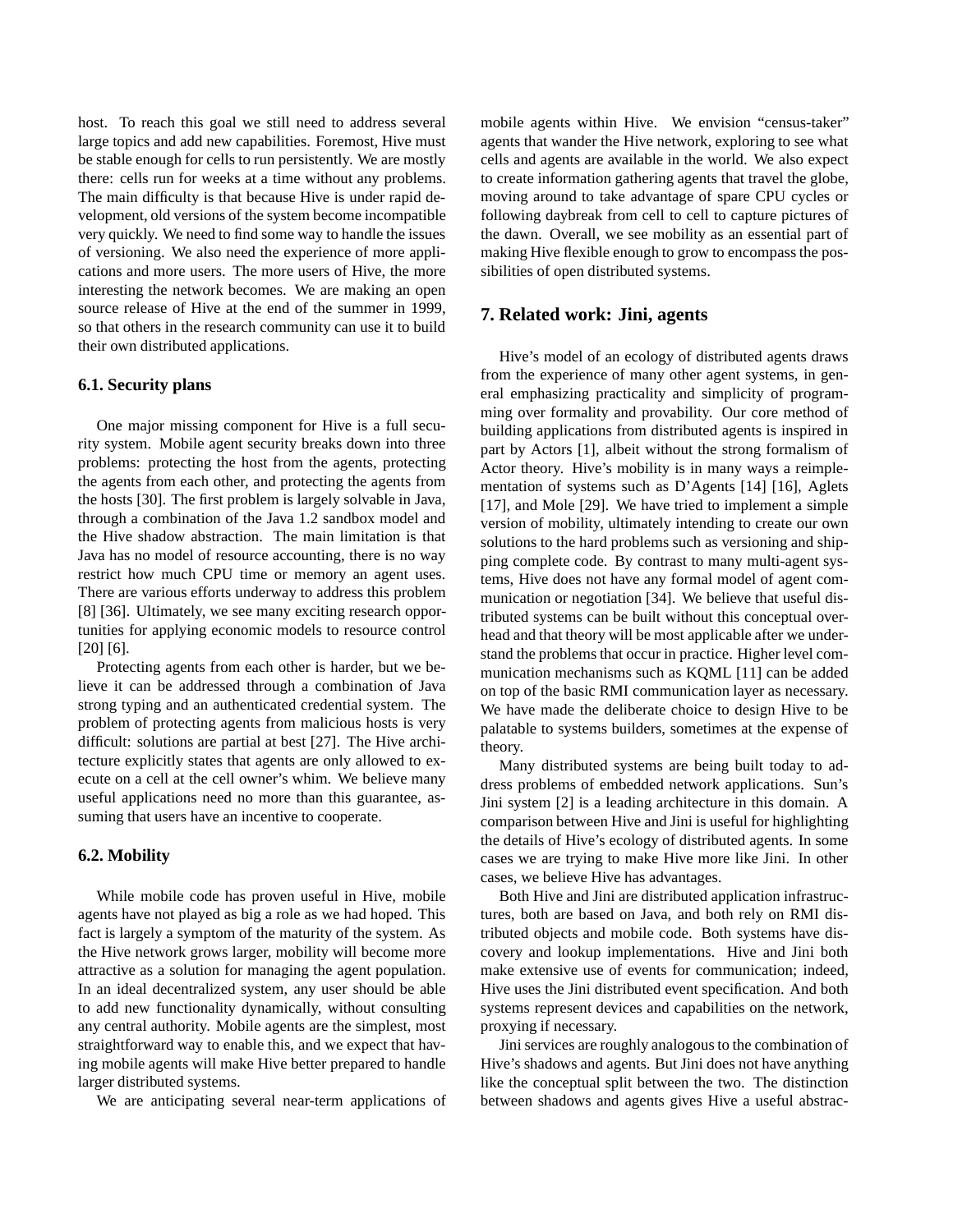host. To reach this goal we still need to address several large topics and add new capabilities. Foremost, Hive must be stable enough for cells to run persistently. We are mostly there: cells run for weeks at a time without any problems. The main difficulty is that because Hive is under rapid development, old versions of the system become incompatible very quickly. We need to find some way to handle the issues of versioning. We also need the experience of more applications and more users. The more users of Hive, the more interesting the network becomes. We are making an open source release of Hive at the end of the summer in 1999, so that others in the research community can use it to build their own distributed applications.

### **6.1. Security plans**

One major missing component for Hive is a full security system. Mobile agent security breaks down into three problems: protecting the host from the agents, protecting the agents from each other, and protecting the agents from the hosts [30]. The first problem is largely solvable in Java, through a combination of the Java 1.2 sandbox model and the Hive shadow abstraction. The main limitation is that Java has no model of resource accounting, there is no way restrict how much CPU time or memory an agent uses. There are various efforts underway to address this problem [8] [36]. Ultimately, we see many exciting research opportunities for applying economic models to resource control [20] [6].

Protecting agents from each other is harder, but we believe it can be addressed through a combination of Java strong typing and an authenticated credential system. The problem of protecting agents from malicious hosts is very difficult: solutions are partial at best [27]. The Hive architecture explicitly states that agents are only allowed to execute on a cell at the cell owner's whim. We believe many useful applications need no more than this guarantee, assuming that users have an incentive to cooperate.

### **6.2. Mobility**

While mobile code has proven useful in Hive, mobile agents have not played as big a role as we had hoped. This fact is largely a symptom of the maturity of the system. As the Hive network grows larger, mobility will become more attractive as a solution for managing the agent population. In an ideal decentralized system, any user should be able to add new functionality dynamically, without consulting any central authority. Mobile agents are the simplest, most straightforward way to enable this, and we expect that having mobile agents will make Hive better prepared to handle larger distributed systems.

We are anticipating several near-term applications of

mobile agents within Hive. We envision "census-taker" agents that wander the Hive network, exploring to see what cells and agents are available in the world. We also expect to create information gathering agents that travel the globe, moving around to take advantage of spare CPU cycles or following daybreak from cell to cell to capture pictures of the dawn. Overall, we see mobility as an essential part of making Hive flexible enough to grow to encompass the possibilities of open distributed systems.

# **7. Related work: Jini, agents**

Hive's model of an ecology of distributed agents draws from the experience of many other agent systems, in general emphasizing practicality and simplicity of programming over formality and provability. Our core method of building applications from distributed agents is inspired in part by Actors [1], albeit without the strong formalism of Actor theory. Hive's mobility is in many ways a reimplementation of systems such as D'Agents [14] [16], Aglets [17], and Mole [29]. We have tried to implement a simple version of mobility, ultimately intending to create our own solutions to the hard problems such as versioning and shipping complete code. By contrast to many multi-agent systems, Hive does not have any formal model of agent communication or negotiation [34]. We believe that useful distributed systems can be built without this conceptual overhead and that theory will be most applicable after we understand the problems that occur in practice. Higher level communication mechanisms such as KQML [11] can be added on top of the basic RMI communication layer as necessary. We have made the deliberate choice to design Hive to be palatable to systems builders, sometimes at the expense of theory.

Many distributed systems are being built today to address problems of embedded network applications. Sun's Jini system [2] is a leading architecture in this domain. A comparison between Hive and Jini is useful for highlighting the details of Hive's ecology of distributed agents. In some cases we are trying to make Hive more like Jini. In other cases, we believe Hive has advantages.

Both Hive and Jini are distributed application infrastructures, both are based on Java, and both rely on RMI distributed objects and mobile code. Both systems have discovery and lookup implementations. Hive and Jini both make extensive use of events for communication; indeed, Hive uses the Jini distributed event specification. And both systems represent devices and capabilities on the network, proxying if necessary.

Jini services are roughly analogous to the combination of Hive's shadows and agents. But Jini does not have anything like the conceptual split between the two. The distinction between shadows and agents gives Hive a useful abstrac-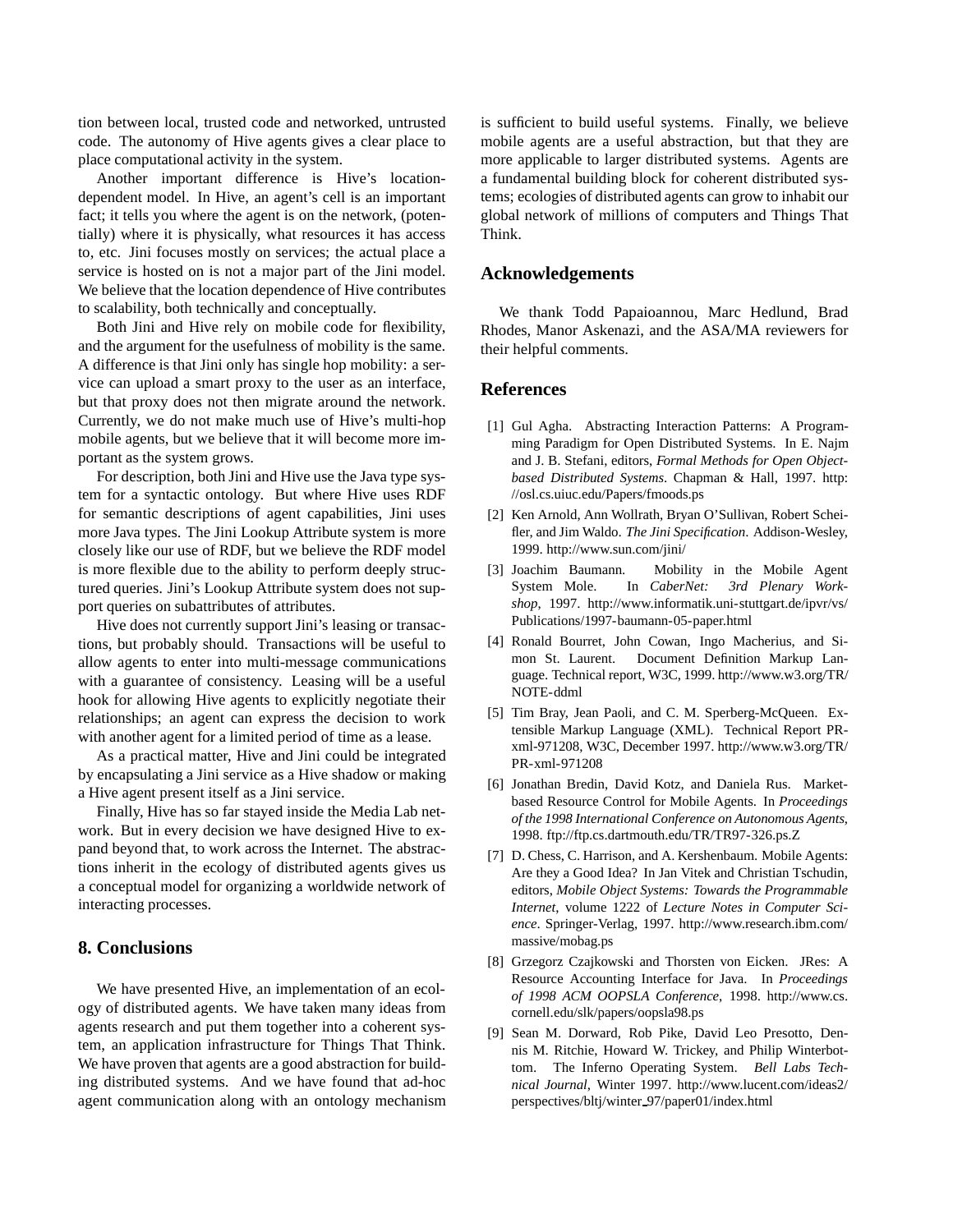tion between local, trusted code and networked, untrusted code. The autonomy of Hive agents gives a clear place to place computational activity in the system.

Another important difference is Hive's locationdependent model. In Hive, an agent's cell is an important fact; it tells you where the agent is on the network, (potentially) where it is physically, what resources it has access to, etc. Jini focuses mostly on services; the actual place a service is hosted on is not a major part of the Jini model. We believe that the location dependence of Hive contributes to scalability, both technically and conceptually.

Both Jini and Hive rely on mobile code for flexibility, and the argument for the usefulness of mobility is the same. A difference is that Jini only has single hop mobility: a service can upload a smart proxy to the user as an interface, but that proxy does not then migrate around the network. Currently, we do not make much use of Hive's multi-hop mobile agents, but we believe that it will become more important as the system grows.

For description, both Jini and Hive use the Java type system for a syntactic ontology. But where Hive uses RDF for semantic descriptions of agent capabilities, Jini uses more Java types. The Jini Lookup Attribute system is more closely like our use of RDF, but we believe the RDF model is more flexible due to the ability to perform deeply structured queries. Jini's Lookup Attribute system does not support queries on subattributes of attributes.

Hive does not currently support Jini's leasing or transactions, but probably should. Transactions will be useful to allow agents to enter into multi-message communications with a guarantee of consistency. Leasing will be a useful hook for allowing Hive agents to explicitly negotiate their relationships; an agent can express the decision to work with another agent for a limited period of time as a lease.

As a practical matter, Hive and Jini could be integrated by encapsulating a Jini service as a Hive shadow or making a Hive agent present itself as a Jini service.

Finally, Hive has so far stayed inside the Media Lab network. But in every decision we have designed Hive to expand beyond that, to work across the Internet. The abstractions inherit in the ecology of distributed agents gives us a conceptual model for organizing a worldwide network of interacting processes.

# **8. Conclusions**

We have presented Hive, an implementation of an ecology of distributed agents. We have taken many ideas from agents research and put them together into a coherent system, an application infrastructure for Things That Think. We have proven that agents are a good abstraction for building distributed systems. And we have found that ad-hoc agent communication along with an ontology mechanism is sufficient to build useful systems. Finally, we believe mobile agents are a useful abstraction, but that they are more applicable to larger distributed systems. Agents are a fundamental building block for coherent distributed systems; ecologies of distributed agents can grow to inhabit our global network of millions of computers and Things That Think.

# **Acknowledgements**

We thank Todd Papaioannou, Marc Hedlund, Brad Rhodes, Manor Askenazi, and the ASA/MA reviewers for their helpful comments.

### **References**

- [1] Gul Agha. Abstracting Interaction Patterns: A Programming Paradigm for Open Distributed Systems. In E. Najm and J. B. Stefani, editors, *Formal Methods for Open Objectbased Distributed Systems*. Chapman & Hall, 1997. http: //osl.cs.uiuc.edu/Papers/fmoods.ps
- [2] Ken Arnold, Ann Wollrath, Bryan O'Sullivan, Robert Scheifler, and Jim Waldo. *The Jini Specification*. Addison-Wesley, 1999. http://www.sun.com/jini/
- [3] Joachim Baumann. Mobility in the Mobile Agent System Mole. In *CaberNet: 3rd Plenary Workshop*, 1997. http://www.informatik.uni-stuttgart.de/ipvr/vs/ Publications/1997-baumann-05-paper.html
- [4] Ronald Bourret, John Cowan, Ingo Macherius, and Simon St. Laurent. Document Definition Markup Language. Technical report, W3C, 1999. http://www.w3.org/TR/ NOTE-ddml
- [5] Tim Bray, Jean Paoli, and C. M. Sperberg-McQueen. Extensible Markup Language (XML). Technical Report PRxml-971208, W3C, December 1997. http://www.w3.org/TR/ PR-xml-971208
- [6] Jonathan Bredin, David Kotz, and Daniela Rus. Marketbased Resource Control for Mobile Agents. In *Proceedings of the 1998 International Conference on Autonomous Agents*, 1998. ftp://ftp.cs.dartmouth.edu/TR/TR97-326.ps.Z
- [7] D. Chess, C. Harrison, and A. Kershenbaum. Mobile Agents: Are they a Good Idea? In Jan Vitek and Christian Tschudin, editors, *Mobile Object Systems: Towards the Programmable Internet*, volume 1222 of *Lecture Notes in Computer Science*. Springer-Verlag, 1997. http://www.research.ibm.com/ massive/mobag.ps
- [8] Grzegorz Czajkowski and Thorsten von Eicken. JRes: A Resource Accounting Interface for Java. In *Proceedings of 1998 ACM OOPSLA Conference*, 1998. http://www.cs. cornell.edu/slk/papers/oopsla98.ps
- [9] Sean M. Dorward, Rob Pike, David Leo Presotto, Dennis M. Ritchie, Howard W. Trickey, and Philip Winterbottom. The Inferno Operating System. *Bell Labs Technical Journal*, Winter 1997. http://www.lucent.com/ideas2/ perspectives/bltj/winter 97/paper01/index.html